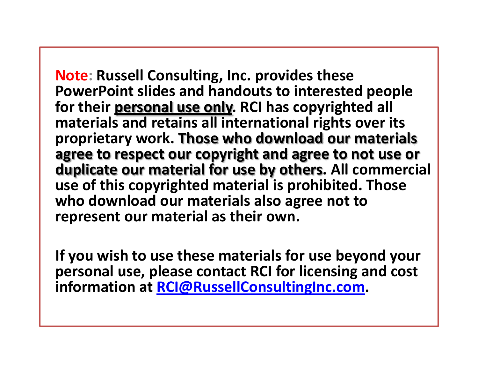**Note: Russell Consulting, Inc. provides these PowerPoint slides and handouts to interested people for their personal use only. RCI has copyrighted all materials and retains all international rights over its proprietary work. Those who download our materials agree to respect our copyright and agree to not use or duplicate our material for use by others. All commercial use of this copyrighted material is prohibited. Those who download our materials also agree not to represent our material as their own.**

**If you wish to use these materials for use beyond your personal use, please contact RCI for licensing and cost information at [RCI@RussellConsultingInc.com](mailto:RCI@RussellConsultingInc.com).**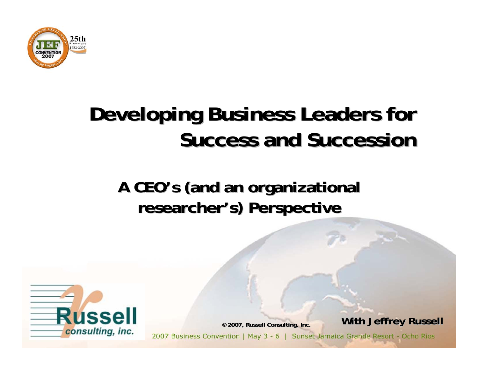

# **Developing Business Leaders for Success and Succession Success and Succession**

#### A CEO's (and an organizational **researcher researcher's) Perspective s) Perspective**



**© 2007, Russell Consulting, Inc. 2007, Russell Consulting, Inc.**

**With Jeffrey Russell With Jeffrey Russell**

2007 Business Convention | May 3 - 6 | Sunset Jamaica Grande Resort - Ocho Rios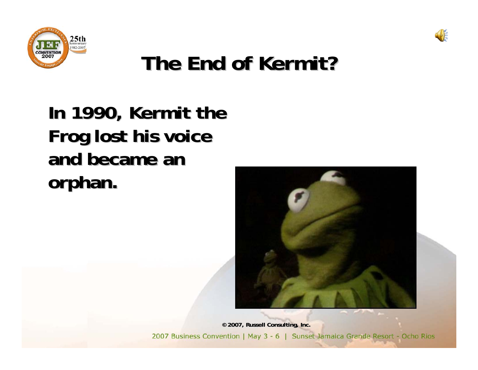



# **The End of Kermit? The End of Kermit?**

## In 1990, Kermit the **Frog lost his voice Frog lost his voice and became an and became an orphan. orphan.**

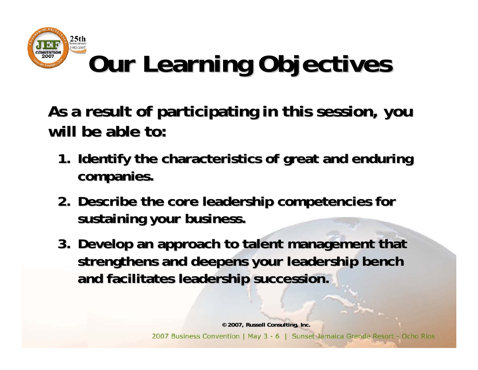

As a result of participating in this session, you **will be able to: will be able to:**

- **1. Identify the characteristics of great and enduring companies. companies.**
- **2.Describe the core leadership competencies for Describe the core leadership competencies for sustaining your business. sustaining your business.**
- **3. Develop an approach to talent management that** strengthens and deepens your leadership bench **and facilitates leadership succession. and facilitates leadership succession.**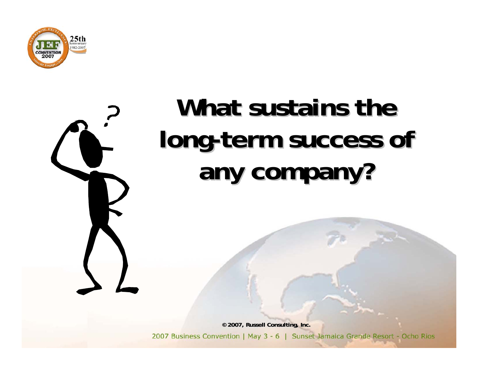



# **What sustains the** long-term success of **any company? any company?**

**© 2007, Russell Consulting, Inc. 2007, Russell Consulting, Inc.**

2007 Business Convention | May 3 - 6 | Sunset Jamaica Grande Resort - Ocho Rios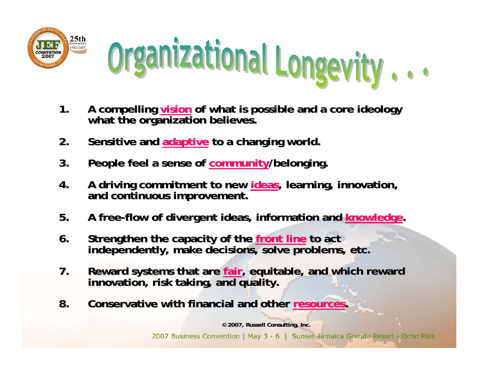



- **1.** A compelling **<u>vision</u></u> of what is possible and a core ideology what the organization believes.**
- **2.** Sensitive and **adaptive** to a changing world.
- **3.** People feel a sense of community/belonging.
- **4.A driving commitment to new A driving commitment to new ideas, learning, innovation, , learning, innovation, and continuous improvement. and continuous improvement.**
- **5.** A free-flow of divergent ideas, information and knowledge.
- 6. Strengthen the capacity of the front line to act<br>independently, make decisions, solve problems, etc.
- 7. Reward systems that are fair, equitable, and which reward innovation, risk taking, and quality.
- **8.** Conservative with financial and other resources.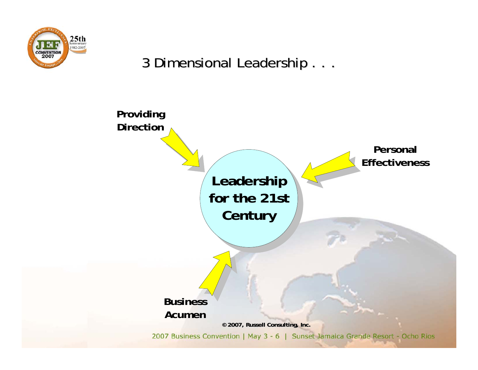

#### 3 Dimensional Leadership . . . 3 Dimensional Leadership . . .

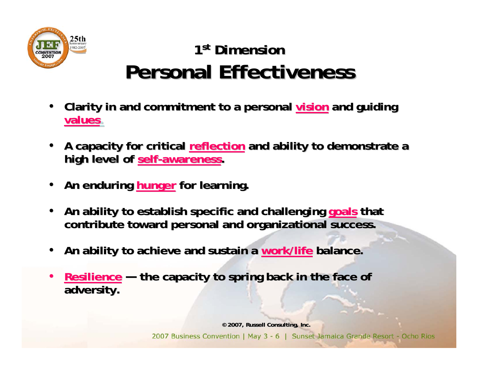

#### 1<sup>st</sup> Dimension **Personal Effectiveness Personal Effectiveness**

- **Clarity in and commitment to a personal vision and guiding values.**
- A capacity for critical reflection and ability to demonstrate a **high level of self-awareness.**
- An enduring **hunger** for learning.
- An ability to establish specific and challenging goals that **contribute toward personal and organizational success. contribute toward personal and success.**
- An ability to achieve and sustain a work/life balance.
- •**Resilience Resilience —the capacity to spring back in the face of the capacity to spring back in the face of adversity. adversity.**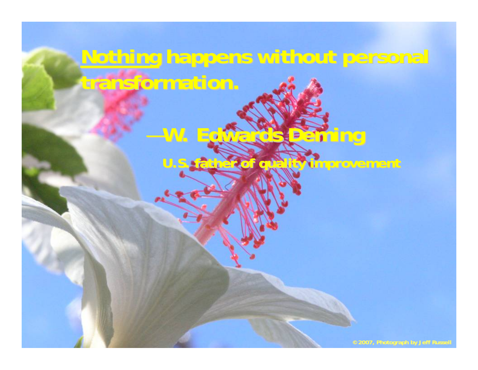# **Nothing happens without personal transformation. transformation.**

—**W. Edwards Deming W. Edwards Deming**

**U.S. father of quality improvement U.S. father of quality improvement**

**©2007, Photograph by Jeff Russell 2007, Photograph by Jeff Russell**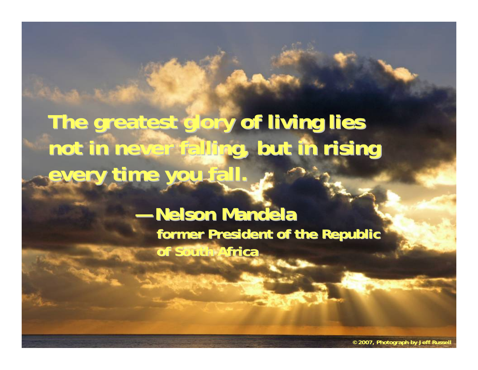The greatest glory of living lies **not in never falling, but in rising not in never falling, but in rising every time you fall. every time you fall.**

> **— Nelson Mandela** former President of the Republic **of South Africa of South Africa**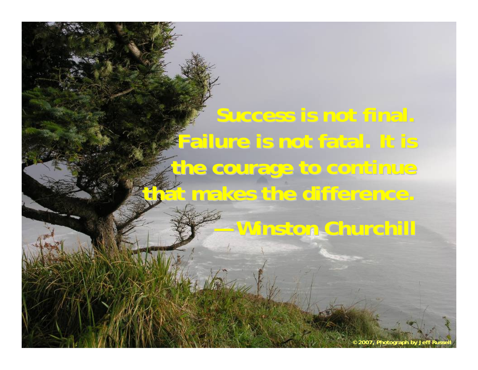**Success is not final. Failure is not fatal. It is the courage to continue that makes the difference.** 

**—Winston Churchill Winston Churchill**

<sup>©</sup> 2007, Photograph by Jeff Russe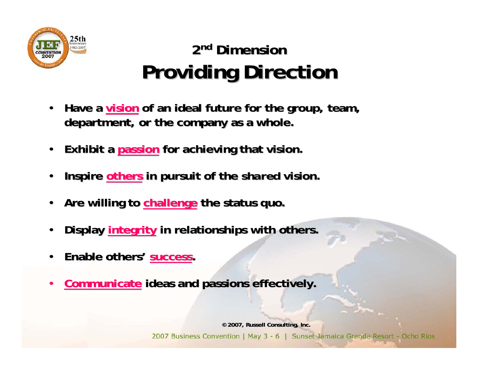

## 2<sup>nd</sup> Dimension **Providing Direction Providing Direction**

- **Have a vision of an ideal future for the group, team, department, or the company as a whole. department, or the company as a whole.**
- **Exhibit a passion for achieving that vision.**
- **Inspire others in pursuit of the** *shared* **vision.**
- Are willing to **challenge** the status quo.
- **Display integrity in relationships with others.**
- •**Enable others Enable others'success success.**
- **Communicate ideas and passions effectively.**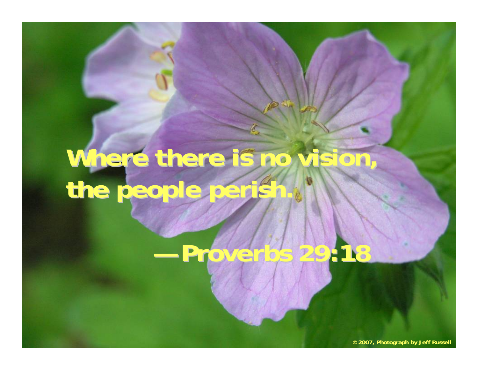# Where there is no vision, **the people perish. the people perish.**

**—Proverbs 29:18 Proverbs 29:18**

**© 2007, Photograph by Jeff Russell**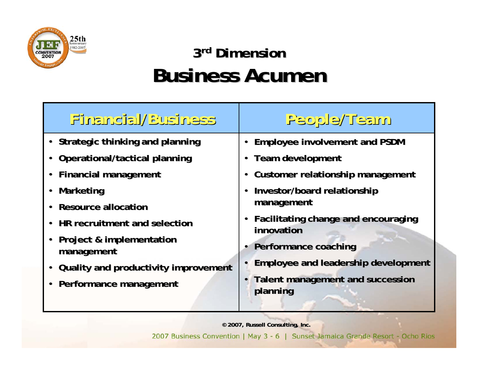

### 3<sup>rd</sup> Dimension **Business Acumen Business Acumen**

| Financial/Business                   | People/Team                                         |
|--------------------------------------|-----------------------------------------------------|
| • Strategic thinking and planning    | <b>Employee involvement and PSDM</b>                |
| • Operational/tactical planning      | <b>Team development</b>                             |
| • Financial management               | Customer relationship management                    |
| • Marketing                          | Investor/board relationship                         |
| • Resource allocation                | management                                          |
| • HR recruitment and selection       | Facilitating change and encouraging<br>innovation   |
| • Project & implementation           |                                                     |
| management                           | Performance coaching                                |
| Quality and productivity improvement | <b>Employee and leadership development</b>          |
| • Performance management             | <b>Talent management and succession</b><br>planning |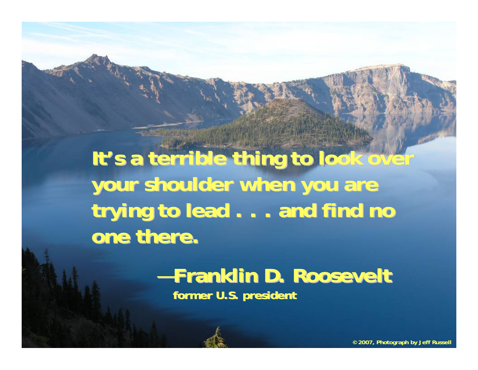It's a terrible thing to look over your shoulder when you are trying to lead . . . and find no **one there.** 

#### —**Franklin D. Roosevelt Franklin D. Roosevelt former U.S. president former U.S. president**

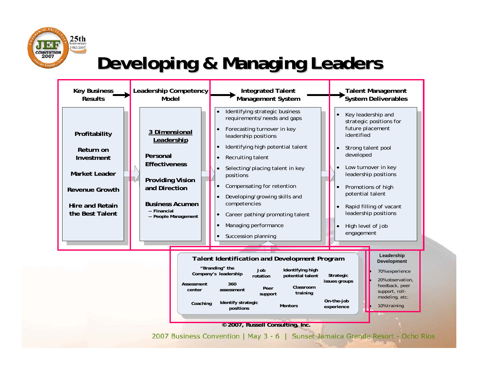

## **Developing & Managing Leaders Developing & Managing Leaders**



**Identify strategic positions**

**360 assessment**

**Assessment center**

**Coaching**



#### **© 2007, Russell Consulting, Inc. 2007, Russell Consulting, Inc.**

**Peer support**

**Mentors**

**Classroom training**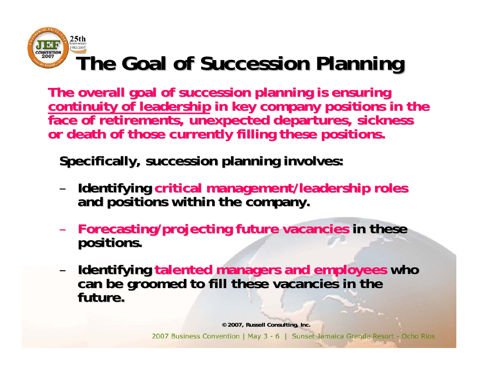

The overall goal of succession planning is ensuring<br>continuity of leadership in key company positions in the<br>face of retirements, unexpected departures, sickness<br>or death of those currently filling these positions.

**Specifically, succession planning involves: Specifically, succession planning involves:**

- –**Identifying Identifying critical management/leadership roles critical management/leadership roles and positions within the company. and positions within the company.**
- –**Forecasting/projecting future vacancies Forecasting/projecting future vacancies in these in these positions. positions.**
- Identifying talented managers and employees who can be groomed to fill these vacancies in the **future.**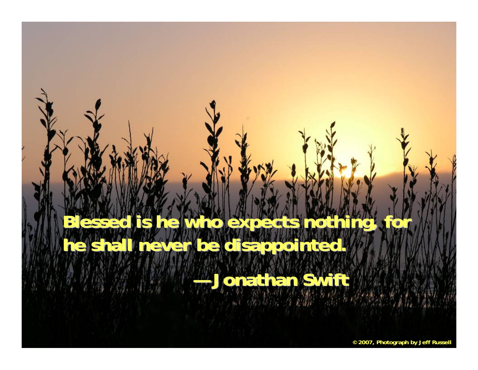# **lessed is he who expects noth** he shall never be disappointed. **—Jonathan Swift Jonathan Swift**

**© 2007, Photograph by Jeff Russell**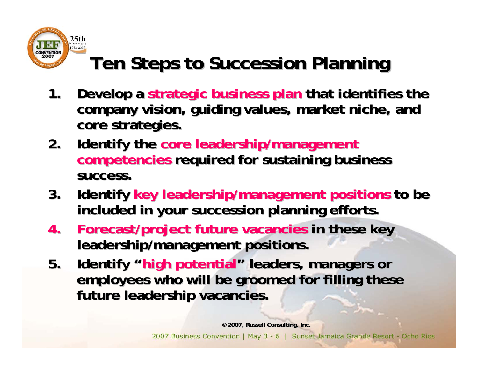

# **Ten Steps to Succession Planning Ten Steps to Succession Planning**

- **1.** Develop a strategic business plan that identifies the company vision, guiding values, market niche, and **core strategies. core strategies.**
- **2.** Identify the core leadership/management **competencies competencies required for sustaining business required for sustaining business success. success.**
- 3. Identify key leadership/management positions to be **included in your succession planning efforts. included in your succession planning efforts.**
- **4.** Forecast/project future vacancies in these key **leadership/management positions. leadership/management positions.**
- **5.** Identify "high potential" leaders, managers or employees who will be groomed for filling these **future leadership vacancies. future leadership vacancies.**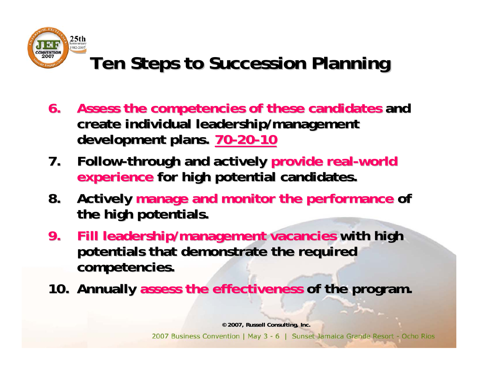

# **Ten Steps to Succession Planning Ten Steps to Succession Planning**

- **6.** Assess the competencies of these candidates and **create individual leadership/management create individual leadership/management**  development plans. 70-20-10
- **7.** Follow-through and actively provide real-world **experience for high potential candidates.**
- **8.** Actively manage and monitor the performance of **the high potentials. the high potentials.**
- **9. Fill leadership/management vacancies with high potentials that demonstrate the required potentials that demonstrate the required competencies. competencies.**
- **10. Annually assess the effectiveness of the program.**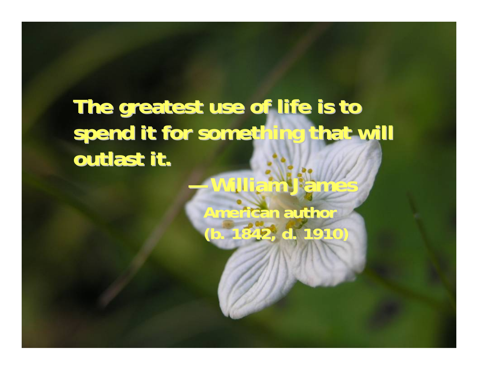# **The greatest use of life is to spend it for something that will spend it for something that will outlast it.**

**—William James William JamesAmerican author (b. 1842, d. 1910) (b. 1842, d. 1910)**